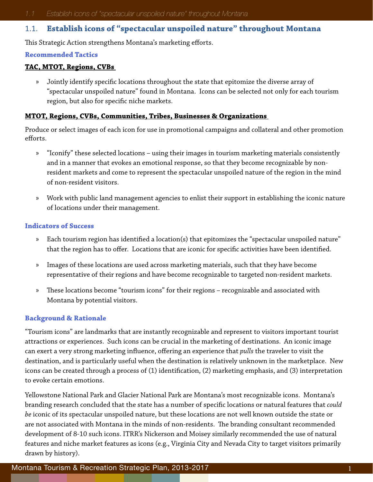# 1.1. **Establish icons of "spectacular unspoiled nature" throughout Montana**

This Strategic Action strengthens Montana's marketing efforts.

#### **Recommended Tactics**

#### **TAC, MTOT, Regions, CVBs**

» Jointly identify specific locations throughout the state that epitomize the diverse array of "spectacular unspoiled nature" found in Montana. Icons can be selected not only for each tourism region, but also for specific niche markets.

### **MTOT, Regions, CVBs, Communities, Tribes, Businesses & Organizations**

Produce or select images of each icon for use in promotional campaigns and collateral and other promotion efforts.

- » "Iconify" these selected locations using their images in tourism marketing materials consistently and in a manner that evokes an emotional response, so that they become recognizable by nonresident markets and come to represent the spectacular unspoiled nature of the region in the mind of non-resident visitors.
- » Work with public land management agencies to enlist their support in establishing the iconic nature of locations under their management.

#### **Indicators of Success**

- » Each tourism region has identified a location(s) that epitomizes the "spectacular unspoiled nature" that the region has to offer. Locations that are iconic for specific activities have been identified.
- » Images of these locations are used across marketing materials, such that they have become representative of their regions and have become recognizable to targeted non-resident markets.
- » These locations become "tourism icons" for their regions recognizable and associated with Montana by potential visitors.

## **Background & Rationale**

"Tourism icons" are landmarks that are instantly recognizable and represent to visitors important tourist attractions or experiences. Such icons can be crucial in the marketing of destinations. An iconic image can exert a very strong marketing influence, offering an experience that *pulls* the traveler to visit the destination, and is particularly useful when the destination is relatively unknown in the marketplace. New icons can be created through a process of (1) identification, (2) marketing emphasis, and (3) interpretation to evoke certain emotions.

Yellowstone National Park and Glacier National Park are Montana's most recognizable icons. Montana's branding research concluded that the state has a number of specific locations or natural features that *could be* iconic of its spectacular unspoiled nature, but these locations are not well known outside the state or are not associated with Montana in the minds of non-residents. The branding consultant recommended development of 8-10 such icons. ITRR's Nickerson and Moisey similarly recommended the use of natural features and niche market features as icons (e.g., Virginia City and Nevada City to target visitors primarily drawn by history).